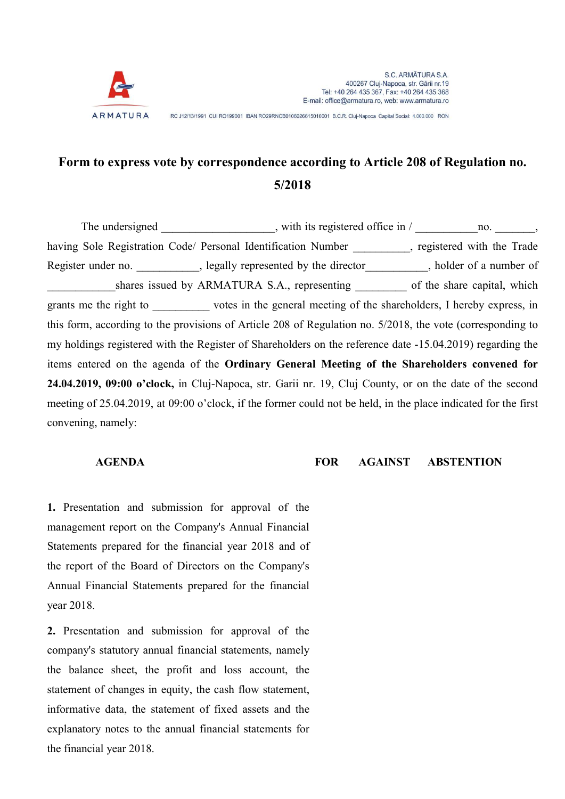

RC J12/13/1991 CUI RO199001 IBAN RO29RNCB0106026615010001 B.C.R. Cluj-Napoca Capital Social: 4.000.000 RON

## Form to express vote by correspondence according to Article 208 of Regulation no. 5/2018

The undersigned example  $\mu$ , with its registered office in /  $\mu$  no.  $\mu$ , having Sole Registration Code/ Personal Identification Number , registered with the Trade Register under no. \_\_\_\_\_\_\_\_\_\_, legally represented by the director \_\_\_\_\_\_\_\_, holder of a number of shares issued by ARMATURA S.A., representing of the share capital, which grants me the right to \_\_\_\_\_\_\_\_\_\_ votes in the general meeting of the shareholders, I hereby express, in this form, according to the provisions of Article 208 of Regulation no. 5/2018, the vote (corresponding to my holdings registered with the Register of Shareholders on the reference date -15.04.2019) regarding the items entered on the agenda of the Ordinary General Meeting of the Shareholders convened for 24.04.2019, 09:00 o'clock, in Cluj-Napoca, str. Garii nr. 19, Cluj County, or on the date of the second meeting of 25.04.2019, at 09:00 o'clock, if the former could not be held, in the place indicated for the first convening, namely:

AGENDA FOR AGAINST ABSTENTION

1. Presentation and submission for approval of the management report on the Company's Annual Financial Statements prepared for the financial year 2018 and of the report of the Board of Directors on the Company's Annual Financial Statements prepared for the financial year 2018.

2. Presentation and submission for approval of the company's statutory annual financial statements, namely the balance sheet, the profit and loss account, the statement of changes in equity, the cash flow statement, informative data, the statement of fixed assets and the explanatory notes to the annual financial statements for the financial year 2018.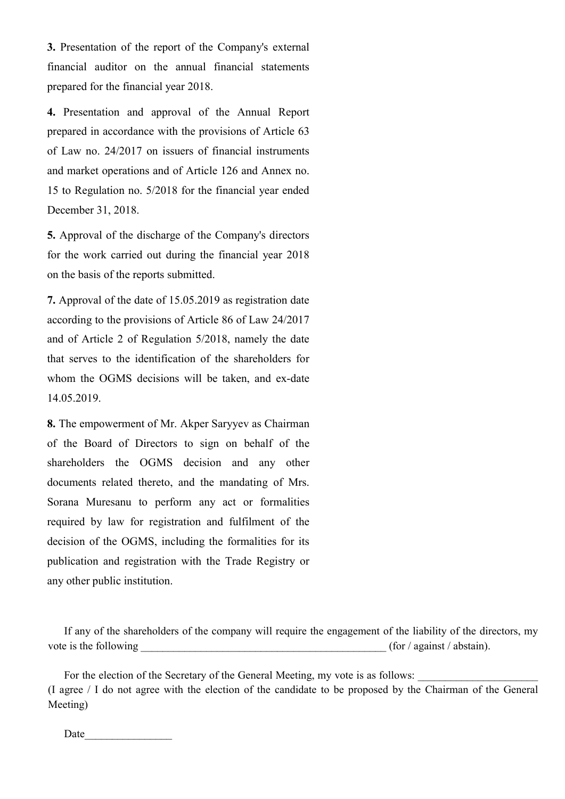3. Presentation of the report of the Company's external financial auditor on the annual financial statements prepared for the financial year 2018.

4. Presentation and approval of the Annual Report prepared in accordance with the provisions of Article 63 of Law no. 24/2017 on issuers of financial instruments and market operations and of Article 126 and Annex no. 15 to Regulation no. 5/2018 for the financial year ended December 31, 2018.

5. Approval of the discharge of the Company's directors for the work carried out during the financial year 2018 on the basis of the reports submitted.

7. Approval of the date of 15.05.2019 as registration date according to the provisions of Article 86 of Law 24/2017 and of Article 2 of Regulation 5/2018, namely the date that serves to the identification of the shareholders for whom the OGMS decisions will be taken, and ex-date 14.05.2019.

8. The empowerment of Mr. Akper Saryyev as Chairman of the Board of Directors to sign on behalf of the shareholders the OGMS decision and any other documents related thereto, and the mandating of Mrs. Sorana Muresanu to perform any act or formalities required by law for registration and fulfilment of the decision of the OGMS, including the formalities for its publication and registration with the Trade Registry or any other public institution.

If any of the shareholders of the company will require the engagement of the liability of the directors, my vote is the following  $($ for  $/$  against  $/$  abstain).

For the election of the Secretary of the General Meeting, my vote is as follows: (I agree / I do not agree with the election of the candidate to be proposed by the Chairman of the General Meeting)

Date